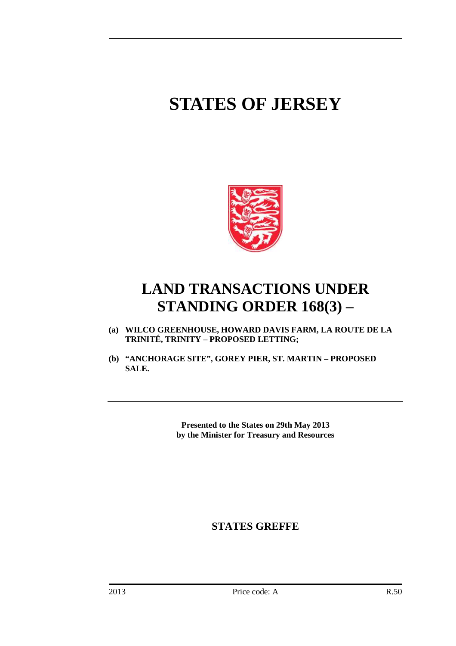# **STATES OF JERSEY**



## **LAND TRANSACTIONS UNDER STANDING ORDER 168(3) –**

- **(a) WILCO GREENHOUSE, HOWARD DAVIS FARM, LA ROUTE DE LA TRINITÉ, TRINITY – PROPOSED LETTING;**
- **(b) "ANCHORAGE SITE", GOREY PIER, ST. MARTIN PROPOSED SALE.**

**Presented to the States on 29th May 2013 by the Minister for Treasury and Resources** 

### **STATES GREFFE**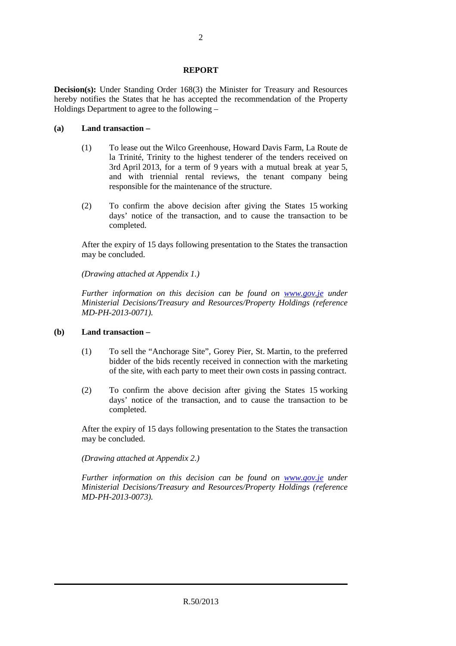#### **REPORT**

**Decision(s):** Under Standing Order 168(3) the Minister for Treasury and Resources hereby notifies the States that he has accepted the recommendation of the Property Holdings Department to agree to the following –

#### **(a) Land transaction –**

- (1) To lease out the Wilco Greenhouse, Howard Davis Farm, La Route de la Trinité, Trinity to the highest tenderer of the tenders received on 3rd April 2013, for a term of 9 years with a mutual break at year 5, and with triennial rental reviews, the tenant company being responsible for the maintenance of the structure.
- (2) To confirm the above decision after giving the States 15 working days' notice of the transaction, and to cause the transaction to be completed.

 After the expiry of 15 days following presentation to the States the transaction may be concluded.

 *(Drawing attached at Appendix 1.)* 

 *Further information on this decision can be found on www.gov.je under Ministerial Decisions/Treasury and Resources/Property Holdings (reference MD-PH-2013-0071).* 

#### **(b) Land transaction –**

- (1) To sell the "Anchorage Site", Gorey Pier, St. Martin, to the preferred bidder of the bids recently received in connection with the marketing of the site, with each party to meet their own costs in passing contract.
- (2) To confirm the above decision after giving the States 15 working days' notice of the transaction, and to cause the transaction to be completed.

 After the expiry of 15 days following presentation to the States the transaction may be concluded.

 *(Drawing attached at Appendix 2.)* 

 *Further information on this decision can be found on www.gov.je under Ministerial Decisions/Treasury and Resources/Property Holdings (reference MD-PH-2013-0073).*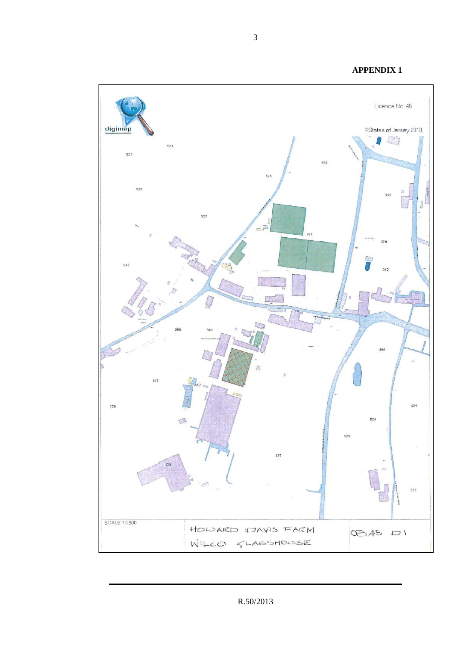**APPENDIX 1** 



3